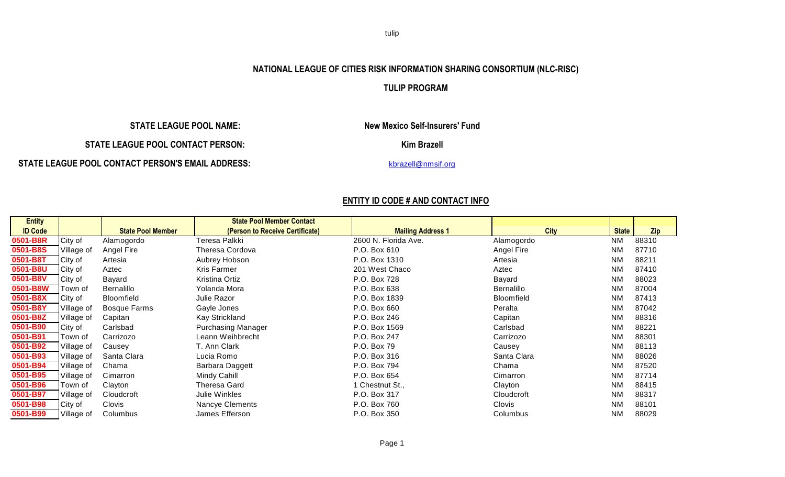tulip

## **NATIONAL LEAGUE OF CITIES RISK INFORMATION SHARING CONSORTIUM (NLC-RISC)**

## **TULIP PROGRAM**

**STATE LEAGUE POOL CONTACT PERSON: Kim Brazell** 

**STATE LEAGUE POOL CONTACT PERSON'S EMAIL ADDRESS:** [kbrazell@nmsif.org](mailto:kbrazell@nmsif.org)

 **STATE LEAGUE POOL NAME: New Mexico Self-Insurers' Fund**

## **ENTITY ID CODE # AND CONTACT INFO**

| <b>Entity</b>  |                |                          | <b>State Pool Member Contact</b> |                          |                   |              |       |
|----------------|----------------|--------------------------|----------------------------------|--------------------------|-------------------|--------------|-------|
| <b>ID Code</b> |                | <b>State Pool Member</b> | (Person to Receive Certificate)  | <b>Mailing Address 1</b> | <b>City</b>       | <b>State</b> | Zip   |
| 0501-B8R       | City of        | Alamogordo               | Гeresa Palkki                    | 2600 N. Florida Ave.     | Alamogordo        | <b>NM</b>    | 88310 |
| 0501-B8S       | Village of     | Angel Fire               | Theresa Cordova                  | P.O. Box 610             | Angel Fire        | <b>NM</b>    | 87710 |
| 0501-B8T       | City of        | Artesia                  | Aubrey Hobson                    | P.O. Box 1310            | Artesia           | <b>NM</b>    | 88211 |
| 0501-B8U       | City of        | Aztec                    | Kris Farmer                      | 201 West Chaco           | Aztec             | <b>NM</b>    | 87410 |
| 0501-B8V       | City of        | Bayard                   | Kristina Ortiz                   | P.O. Box 728             | Bayard            | <b>NM</b>    | 88023 |
| 0501-B8W       | Town of        | <b>Bernalillo</b>        | Yolanda Mora                     | P.O. Box 638             | <b>Bernalillo</b> | <b>NM</b>    | 87004 |
| 0501-B8X       | <b>City of</b> | <b>Bloomfield</b>        | Julie Razor                      | P.O. Box 1839            | <b>Bloomfield</b> | <b>NM</b>    | 87413 |
| 0501-B8Y       | Village of     | Bosque Farms             | Gayle Jones                      | P.O. Box 660             | Peralta           | <b>NM</b>    | 87042 |
| 0501-B8Z       | Village of     | Capitan                  | Kay Strickland                   | P.O. Box 246             | Capitan           | <b>NM</b>    | 88316 |
| 0501-B90       | City of        | Carlsbad                 | <b>Purchasing Manager</b>        | P.O. Box 1569            | Carlsbad          | <b>NM</b>    | 88221 |
| 0501-B91       | Town of        | Carrizozo                | Leann Weihbrecht                 | P.O. Box 247             | Carrizozo         | <b>NM</b>    | 88301 |
| 0501-B92       | Village of     | Causey                   | T. Ann Clark                     | P.O. Box 79              | Causey            | <b>NM</b>    | 88113 |
| 0501-B93       | Village of     | Santa Clara              | Lucia Romo                       | P.O. Box 316             | Santa Clara       | <b>NM</b>    | 88026 |
| 0501-B94       | Village of     | Chama                    | Barbara Daggett                  | P.O. Box 794             | Chama             | <b>NM</b>    | 87520 |
| 0501-B95       | Village of     | Cimarron                 | Mindy Cahill                     | P.O. Box 654             | Cimarron          | <b>NM</b>    | 87714 |
| 0501-B96       | Town of        | Clayton                  | Theresa Gard                     | 1 Chestnut St.,          | Clayton           | <b>NM</b>    | 88415 |
| 0501-B97       | Village of     | Cloudcroft               | Julie Winkles                    | P.O. Box 317             | Cloudcroft        | <b>NM</b>    | 88317 |
| 0501-B98       | <b>City of</b> | Clovis                   | Nancye Clements                  | P.O. Box 760             | Clovis            | <b>NM</b>    | 88101 |
| 0501-B99       | Village of     | Columbus                 | James Efferson                   | P.O. Box 350             | Columbus          | <b>NM</b>    | 88029 |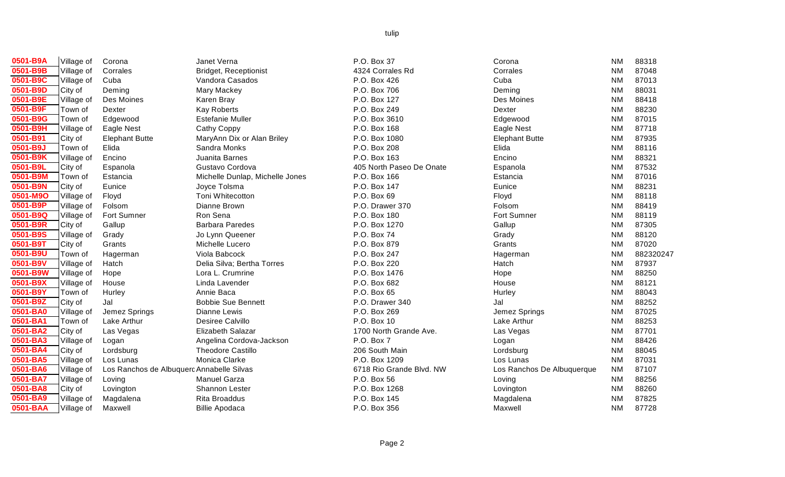| <u>0501-B9A</u>        | Village of | Corona  |
|------------------------|------------|---------|
| 0501-B9B               | Village of | Corrale |
| 0501-B9C               | Village of | Cuba    |
| 0501-B9D               | City of    | Demin   |
| 0501-B9E               | Village of | Des M   |
| 0501-B9F               | Town of    | Dexter  |
| 0501-B9G               | Town of    | Edgew   |
| 0501-B9H               | Village of | Eagle   |
| $\overline{0501}$ -B91 | City of    | Elepha  |
| 0501-B9J               | Town of    | Elida   |
| 0501-B9K               | Village of | Encino  |
| 0501-B9L               | City of    | Espan   |
| 0501-B9M               | Town of    | Estand  |
| 0501-B9N               | City of    | Eunice  |
| 0501-M9O               | Village of | Floyd   |
| 0501-B9P               | Village of | Folson  |
| 0501-B9Q               | Village of | Fort St |
| 0501-B9R               | City of    | Gallup  |
| 0501-B9S               | Village of | Grady   |
| 0501-B9T               | City of    | Grants  |
| 0501-B9U               | Town of    | Hagerr  |
| 0501-B9V               | Village of | Hatch   |
| 0501-B9W               | Village of | Hope    |
| 0501-B9X               | Village of | House   |
| 0501-B9Y               | Town of    | Hurley  |
| 0501-B9Z               | City of    | Jal     |
| 0501-BA0               | Village of | Jemez   |
| 0501-BA1               | Town of    | Lake A  |
| 0501-BA2               | City of    | Las Ve  |
| 0501-BA3               | Village of | Logan   |
| 0501-BA4               | City of    | Lordsb  |
| 0501-BA5               | Village of | Los Lu  |
| 0501-BA6               | Village of | Los Ra  |
| 0501-BA7               | Village of | Loving  |
| 0501-BA8               | City of    | Loving  |
| 0501-BA9               | Village of | Magda   |
| 0501-BAA               | Village of | Maxwe   |

| 0501-B9A | Village of | Corona                                    | Janet Verna                     | P.O. Box 37              | Corona                     | <b>NM</b> | 88318     |
|----------|------------|-------------------------------------------|---------------------------------|--------------------------|----------------------------|-----------|-----------|
| 0501-B9B | Village of | Corrales                                  | <b>Bridget, Receptionist</b>    | 4324 Corrales Rd         | Corrales                   | <b>NM</b> | 87048     |
| 0501-B9C | Village of | Cuba                                      | Vandora Casados                 | P.O. Box 426             | Cuba                       | <b>NM</b> | 87013     |
| 0501-B9D | City of    | Deming                                    | Mary Mackey                     | P.O. Box 706             | Deming                     | <b>NM</b> | 88031     |
| 0501-B9E | Village of | Des Moines                                | Karen Bray                      | P.O. Box 127             | Des Moines                 | <b>NM</b> | 88418     |
| 0501-B9F | Town of    | Dexter                                    | <b>Kay Roberts</b>              | P.O. Box 249             | Dexter                     | <b>NM</b> | 88230     |
| 0501-B9G | Town of    | Edgewood                                  | <b>Estefanie Muller</b>         | P.O. Box 3610            | Edgewood                   | <b>NM</b> | 87015     |
| 0501-B9H | Village of | Eagle Nest                                | Cathy Coppy                     | P.O. Box 168             | Eagle Nest                 | <b>NM</b> | 87718     |
| 0501-B91 | City of    | <b>Elephant Butte</b>                     | MaryAnn Dix or Alan Briley      | P.O. Box 1080            | <b>Elephant Butte</b>      | <b>NM</b> | 87935     |
| 0501-B9J | Town of    | Elida                                     | Sandra Monks                    | P.O. Box 208             | Elida                      | <b>NM</b> | 88116     |
| 0501-B9K | Village of | Encino                                    | Juanita Barnes                  | P.O. Box 163             | Encino                     | <b>NM</b> | 88321     |
| 0501-B9L | City of    | Espanola                                  | Gustavo Cordova                 | 405 North Paseo De Onate | Espanola                   | <b>NM</b> | 87532     |
| 0501-B9M | Town of    | Estancia                                  | Michelle Dunlap, Michelle Jones | P.O. Box 166             | Estancia                   | <b>NM</b> | 87016     |
| 0501-B9N | City of    | Eunice                                    | Joyce Tolsma                    | P.O. Box 147             | Eunice                     | <b>NM</b> | 88231     |
| 0501-M9O | Village of | Floyd                                     | Toni Whitecotton                | P.O. Box 69              | Floyd                      | <b>NM</b> | 88118     |
| 0501-B9P | Village of | Folsom                                    | Dianne Brown                    | P.O. Drawer 370          | Folsom                     | <b>NM</b> | 88419     |
| 0501-B9Q | Village of | Fort Sumner                               | Ron Sena                        | P.O. Box 180             | Fort Sumner                | <b>NM</b> | 88119     |
| 0501-B9R | City of    | Gallup                                    | <b>Barbara Paredes</b>          | P.O. Box 1270            | Gallup                     | <b>NM</b> | 87305     |
| 0501-B9S | Village of | Grady                                     | Jo Lynn Queener                 | P.O. Box 74              | Grady                      | <b>NM</b> | 88120     |
| 0501-B9T | City of    | Grants                                    | Michelle Lucero                 | P.O. Box 879             | Grants                     | <b>NM</b> | 87020     |
| 0501-B9U | Town of    | Hagerman                                  | Viola Babcock                   | P.O. Box 247             | Hagerman                   | <b>NM</b> | 882320247 |
| 0501-B9V | Village of | Hatch                                     | Delia Silva; Bertha Torres      | P.O. Box 220             | Hatch                      | <b>NM</b> | 87937     |
| 0501-B9W | Village of | Hope                                      | Lora L. Crumrine                | P.O. Box 1476            | Hope                       | <b>NM</b> | 88250     |
| 0501-B9X | Village of | House                                     | Linda Lavender                  | P.O. Box 682             | House                      | <b>NM</b> | 88121     |
| 0501-B9Y | Town of    | Hurley                                    | Annie Baca                      | P.O. Box 65              | Hurley                     | <b>NM</b> | 88043     |
| 0501-B9Z | City of    | Jal                                       | <b>Bobbie Sue Bennett</b>       | P.O. Drawer 340          | Jal                        | <b>NM</b> | 88252     |
| 0501-BA0 | Village of | Jemez Springs                             | Dianne Lewis                    | P.O. Box 269             | Jemez Springs              | <b>NM</b> | 87025     |
| 0501-BA1 | Town of    | Lake Arthur                               | Desiree Calvillo                | P.O. Box 10              | Lake Arthur                | <b>NM</b> | 88253     |
| 0501-BA2 | City of    | Las Vegas                                 | Elizabeth Salazar               | 1700 North Grande Ave.   | Las Vegas                  | <b>NM</b> | 87701     |
| 0501-BA3 | Village of | Logan                                     | Angelina Cordova-Jackson        | P.O. Box 7               | Logan                      | <b>NM</b> | 88426     |
| 0501-BA4 | City of    | Lordsburg                                 | <b>Theodore Castillo</b>        | 206 South Main           | Lordsburg                  | <b>NM</b> | 88045     |
| 0501-BA5 | Village of | Los Lunas                                 | Monica Clarke                   | P.O. Box 1209            | Los Lunas                  | <b>NM</b> | 87031     |
| 0501-BA6 | Village of | Los Ranchos de Albuquerc Annabelle Silvas |                                 | 6718 Rio Grande Blvd. NW | Los Ranchos De Albuquerque | <b>NM</b> | 87107     |
| 0501-BA7 | Village of | Loving                                    | <b>Manuel Garza</b>             | P.O. Box 56              | Loving                     | <b>NM</b> | 88256     |
| 0501-BA8 | City of    | Lovington                                 | Shannon Lester                  | P.O. Box 1268            | Lovington                  | <b>NM</b> | 88260     |
| 0501-BA9 | Village of | Magdalena                                 | Rita Broaddus                   | P.O. Box 145             | Magdalena                  | <b>NM</b> | 87825     |
| 0501-BAA | Village of | Maxwell                                   | <b>Billie Apodaca</b>           | P.O. Box 356             | Maxwell                    | <b>NM</b> | 87728     |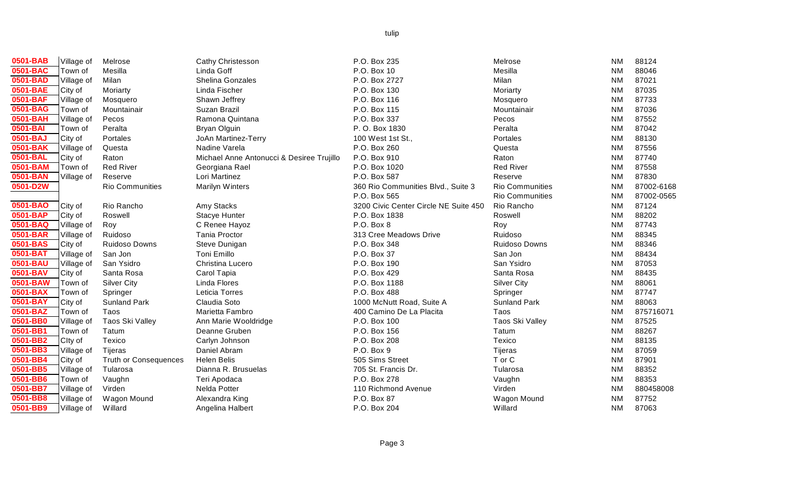| 0501-BAB | Village of | Melrose             |
|----------|------------|---------------------|
| 0501-BAC | Town of    | Mesilla             |
| 0501-BAD | Village of | Milan               |
| 0501-BAE | City of    | Moriarty            |
| 0501-BAF | Village of | Mosquero            |
| 0501-BAG | Town of    | Mountainair         |
| 0501-BAH | Village of | Pecos               |
| 0501-BAI | Town of    | Peralta             |
| 0501-BAJ | City of    | Portales            |
| 0501-BAK | Village of | Questa              |
| 0501-BAL | City of    | Raton               |
| 0501-BAM | Town of    | <b>Red River</b>    |
| 0501-BAN | Village of | Reserve             |
| 0501-D2W |            | Rio Communiti       |
|          |            |                     |
| 0501-BAO | City of    | Rio Rancho          |
| 0501-BAP | City of    | Roswell             |
| 0501-BAQ | Village of | Roy                 |
| 0501-BAR | Village of | Ruidoso             |
| 0501-BAS | City of    | Ruidoso Down        |
| 0501-BAT | Village of | San Jon             |
| 0501-BAU | Village of | San Ysidro          |
| 0501-BAV | City of    | Santa Rosa          |
| 0501-BAW | Town of    | <b>Silver City</b>  |
| 0501-BAX | Town of    | Springer            |
| 0501-BAY | City of    | <b>Sunland Park</b> |
| 0501-BAZ | Town of    | Taos                |
| 0501-BB0 | Village of | Taos Ski Valle      |
| 0501-BB1 | Town of    | Tatum               |
| 0501-BB2 | Clty of    | Texico              |
| 0501-BB3 | Village of | <b>Tijeras</b>      |
| 0501-BB4 | City of    | Truth or Conse      |
| 0501-BB5 | Village of | Tularosa            |
| 0501-BB6 | Town of    | Vaughn              |
| 0501-BB7 | Village of | Virden              |
| 0501-BB8 | Village of | Wagon Mound         |
| 0501-BB9 | Village of | Willard             |

|       | Cathy Christesso<br>Linda Goff<br>Shelina Gonzales<br>Linda Fischer<br>Shawn Jeffrey<br>Suzan Brazil<br>Ramona Quintana<br><b>Bryan Olguin</b><br>JoAn Martinez-Te<br>Nadine Varela<br>Michael Anne Ant<br>Georgiana Rael<br>Lori Martinez<br>Marilyn Winters |
|-------|---------------------------------------------------------------------------------------------------------------------------------------------------------------------------------------------------------------------------------------------------------------|
|       | Amy Stacks<br><b>Stacye Hunter</b><br>C Renee Hayoz<br><b>Tania Proctor</b><br>Steve Dunigan<br><b>Toni Emillo</b><br>Christina Lucero<br>Carol Tapia<br>Linda Flores<br>Leticia Torres<br>Claudia Soto<br>Marietta Fambro                                    |
| ences | Ann Marie Woold<br>Deanne Gruben<br>Carlyn Johnson<br>Daniel Abram<br><b>Helen Belis</b><br>Dianna R. Brusue<br>Teri Apodaca<br>Nelda Potter<br>Alexandra King                                                                                                |

| 0501-BAB | Village of | Melrose                      | <b>Cathy Christesson</b>                  | P.O. Box 235                          | Melrose                | <b>NM</b> | 88124      |
|----------|------------|------------------------------|-------------------------------------------|---------------------------------------|------------------------|-----------|------------|
| 0501-BAC | Town of    | Mesilla                      | Linda Goff                                | P.O. Box 10                           | Mesilla                | <b>NM</b> | 88046      |
| 0501-BAD | Village of | Milan                        | Shelina Gonzales                          | P.O. Box 2727                         | Milan                  | <b>NM</b> | 87021      |
| 0501-BAE | City of    | Moriarty                     | Linda Fischer                             | P.O. Box 130                          | Moriarty               | <b>NM</b> | 87035      |
| 0501-BAF | Village of | Mosquero                     | Shawn Jeffrey                             | P.O. Box 116                          | Mosquero               | <b>NM</b> | 87733      |
| 0501-BAG | Town of    | Mountainair                  | Suzan Brazil                              | P.O. Box 115                          | Mountainair            | <b>NM</b> | 87036      |
| 0501-BAH | Village of | Pecos                        | Ramona Quintana                           | P.O. Box 337                          | Pecos                  | <b>NM</b> | 87552      |
| 0501-BAI | Town of    | Peralta                      | <b>Bryan Olguin</b>                       | P. O. Box 1830                        | Peralta                | <b>NM</b> | 87042      |
| 0501-BAJ | City of    | Portales                     | JoAn Martinez-Terry                       | 100 West 1st St.,                     | Portales               | <b>NM</b> | 88130      |
| 0501-BAK | Village of | Questa                       | Nadine Varela                             | P.O. Box 260                          | Questa                 | <b>NM</b> | 87556      |
| 0501-BAL | City of    | Raton                        | Michael Anne Antonucci & Desiree Trujillo | P.O. Box 910                          | Raton                  | <b>NM</b> | 87740      |
| 0501-BAM | Town of    | <b>Red River</b>             | Georgiana Rael                            | P.O. Box 1020                         | <b>Red River</b>       | <b>NM</b> | 87558      |
| 0501-BAN | Village of | Reserve                      | Lori Martinez                             | P.O. Box 587                          | Reserve                | <b>NM</b> | 87830      |
| 0501-D2W |            | Rio Communities              | <b>Marilyn Winters</b>                    | 360 Rio Communities Blvd., Suite 3    | <b>Rio Communities</b> | <b>NM</b> | 87002-6168 |
|          |            |                              |                                           | P.O. Box 565                          | <b>Rio Communities</b> | <b>NM</b> | 87002-0565 |
| 0501-BAO | City of    | Rio Rancho                   | Amy Stacks                                | 3200 Civic Center Circle NE Suite 450 | Rio Rancho             | <b>NM</b> | 87124      |
| 0501-BAP | City of    | Roswell                      | <b>Stacye Hunter</b>                      | P.O. Box 1838                         | Roswell                | <b>NM</b> | 88202      |
| 0501-BAQ | Village of | Roy                          | C Renee Hayoz                             | P.O. Box 8                            | Roy                    | <b>NM</b> | 87743      |
| 0501-BAR | Village of | Ruidoso                      | <b>Tania Proctor</b>                      | 313 Cree Meadows Drive                | Ruidoso                | <b>NM</b> | 88345      |
| 0501-BAS | City of    | Ruidoso Downs                | Steve Dunigan                             | P.O. Box 348                          | Ruidoso Downs          | <b>NM</b> | 88346      |
| 0501-BAT | Village of | San Jon                      | Toni Emillo                               | P.O. Box 37                           | San Jon                | <b>NM</b> | 88434      |
| 0501-BAU | Village of | San Ysidro                   | Christina Lucero                          | P.O. Box 190                          | San Ysidro             | <b>NM</b> | 87053      |
| 0501-BAV | City of    | Santa Rosa                   | Carol Tapia                               | P.O. Box 429                          | Santa Rosa             | <b>NM</b> | 88435      |
| 0501-BAW | Town of    | <b>Silver City</b>           | Linda Flores                              | P.O. Box 1188                         | <b>Silver City</b>     | <b>NM</b> | 88061      |
| 0501-BAX | Town of    | Springer                     | Leticia Torres                            | P.O. Box 488                          | Springer               | <b>NM</b> | 87747      |
| 0501-BAY | City of    | <b>Sunland Park</b>          | Claudia Soto                              | 1000 McNutt Road, Suite A             | <b>Sunland Park</b>    | <b>NM</b> | 88063      |
| 0501-BAZ | Town of    | Taos                         | Marietta Fambro                           | 400 Camino De La Placita              | Taos                   | <b>NM</b> | 875716071  |
| 0501-BB0 | Village of | Taos Ski Valley              | Ann Marie Wooldridge                      | P.O. Box 100                          | Taos Ski Valley        | <b>NM</b> | 87525      |
| 0501-BB1 | Town of    | Tatum                        | Deanne Gruben                             | P.O. Box 156                          | Tatum                  | <b>NM</b> | 88267      |
| 0501-BB2 | Clty of    | Texico                       | Carlyn Johnson                            | P.O. Box 208                          | Texico                 | <b>NM</b> | 88135      |
| 0501-BB3 | Village of | Tijeras                      | Daniel Abram                              | P.O. Box 9                            | Tijeras                | <b>NM</b> | 87059      |
| 0501-BB4 | City of    | <b>Truth or Consequences</b> | <b>Helen Belis</b>                        | 505 Sims Street                       | T or C                 | <b>NM</b> | 87901      |
| 0501-BB5 | Village of | Tularosa                     | Dianna R. Brusuelas                       | 705 St. Francis Dr.                   | Tularosa               | <b>NM</b> | 88352      |
| 0501-BB6 | Town of    | Vaughn                       | Teri Apodaca                              | P.O. Box 278                          | Vaughn                 | <b>NM</b> | 88353      |
| 0501-BB7 | Village of | Virden                       | Nelda Potter                              | 110 Richmond Avenue                   | Virden                 | <b>NM</b> | 880458008  |
| 0501-BB8 | Village of | Wagon Mound                  | Alexandra King                            | P.O. Box 87                           | Wagon Mound            | <b>NM</b> | 87752      |
| 0501-BB9 | Village of | Willard                      | Angelina Halbert                          | P.O. Box 204                          | Willard                | <b>NM</b> | 87063      |
|          |            |                              |                                           |                                       |                        |           |            |

|     | <b>00127</b> |
|-----|--------------|
| NM  | 88046        |
| NM. | 87021        |
| NM  | 87035        |
| NM  | 87733        |
| NM. | 87036        |
| NM  | 87552        |
| NM  | 87042        |
| NM. | 88130        |
| NM  | 87556        |
| NM. | 87740        |
| NM. | 87558        |
| NM  | 87830        |
| NM  | 87002-6168   |
| NM  | 87002-0565   |
| NM  | 87124        |
| NM  | 88202        |
| NM  | 87743        |
| NM  | 88345        |
| NM. | 88346        |
| NM  | 88434        |
| NM  | 87053        |
| NM  | 88435        |
| ΝM  | 88061        |
| NM  | 87747        |
| NM  | 88063        |
| NM  | 875716071    |
| NM  | 87525        |
| ΝM  | 88267        |
| NM  | 88135        |
| NΜ  | 87059        |
| NM  | 87901        |
| NM  | 88352        |
| NM  | 88353        |
| NM  | 880458008    |
| NM  | 87752        |
| NM  | 87063        |
|     |              |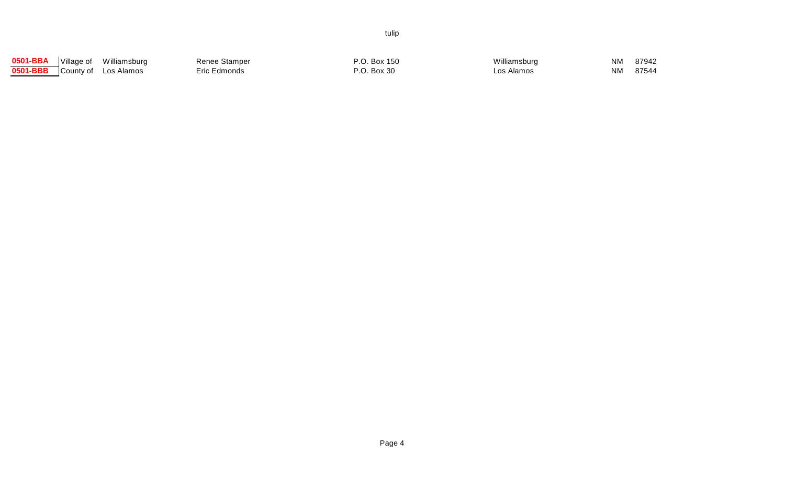| 0501-BBA | Village of | Williamsburg | Renee Stamper | .O. Box 150 | Williamsburg | <b>NM</b> | 87942 |
|----------|------------|--------------|---------------|-------------|--------------|-----------|-------|
| 0501-BBB | County of  | Los Alamos   | Eric Edmonds  | .O. Box 30  | ∟os Alamos   | NM.       | 87544 |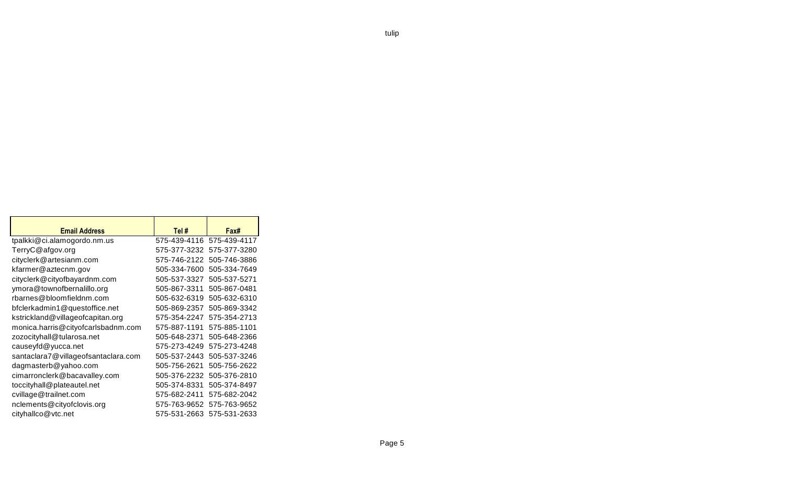| <b>Email Address</b>                | Tel#         | Fax#         |  |
|-------------------------------------|--------------|--------------|--|
| tpalkki@ci.alamogordo.nm.us         | 575-439-4116 | 575-439-4117 |  |
| TerryC@afgov.org                    | 575-377-3232 | 575-377-3280 |  |
| cityclerk@artesianm.com             | 575-746-2122 | 505-746-3886 |  |
| kfarmer@aztecnm.gov                 | 505-334-7600 | 505-334-7649 |  |
| cityclerk@cityofbayardnm.com        | 505-537-3327 | 505-537-5271 |  |
| ymora@townofbernalillo.org          | 505-867-3311 | 505-867-0481 |  |
| rbarnes@bloomfieldnm.com            | 505-632-6319 | 505-632-6310 |  |
| bfclerkadmin1@questoffice.net       | 505-869-2357 | 505-869-3342 |  |
| kstrickland@villageofcapitan.org    | 575-354-2247 | 575-354-2713 |  |
| monica.harris@cityofcarlsbadnm.com  | 575-887-1191 | 575-885-1101 |  |
| zozocityhall@tularosa.net           | 505-648-2371 | 505-648-2366 |  |
| causeyfd@yucca.net                  | 575-273-4249 | 575-273-4248 |  |
| santaclara7@villageofsantaclara.com | 505-537-2443 | 505-537-3246 |  |
| dagmasterb@yahoo.com                | 505-756-2621 | 505-756-2622 |  |
| cimarronclerk@bacavalley.com        | 505-376-2232 | 505-376-2810 |  |
| toccityhall@plateautel.net          | 505-374-8331 | 505-374-8497 |  |
| cvillage@trailnet.com               | 575-682-2411 | 575-682-2042 |  |
| nclements@cityofclovis.org          | 575-763-9652 | 575-763-9652 |  |
| cityhallco@vtc.net                  | 575-531-2663 | 575-531-2633 |  |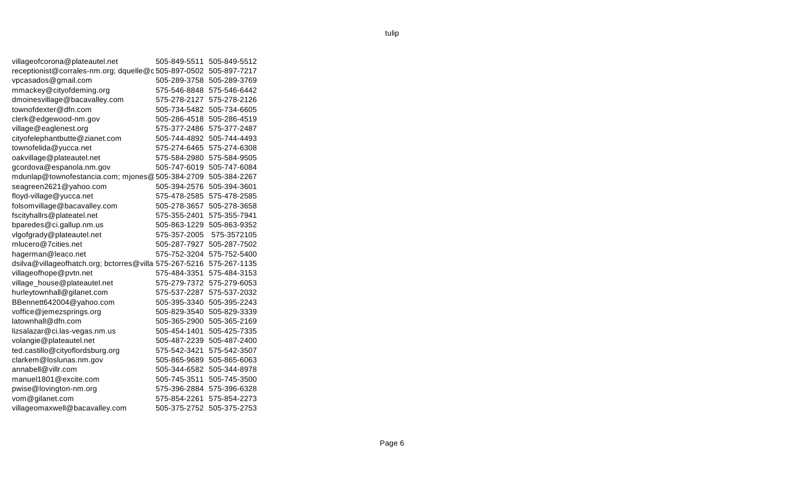| villageofcorona@plateautel.net                         | 505-849-5511 | 505-849-5512 |
|--------------------------------------------------------|--------------|--------------|
| receptionist@corrales-nm.org; dquelle@c505-897-0502    |              | 505-897-7217 |
| vpcasados@gmail.com                                    | 505-289-3758 | 505-289-3769 |
| mmackey@cityofdeming.org                               | 575-546-8848 | 575-546-6442 |
| dmoinesvillage@bacavalley.com                          | 575-278-2127 | 575-278-2126 |
| townofdexter@dfn.com                                   | 505-734-5482 | 505-734-6605 |
| clerk@edgewood-nm.gov                                  | 505-286-4518 | 505-286-4519 |
| village@eaglenest.org                                  | 575-377-2486 | 575-377-2487 |
| cityofelephantbutte@zianet.com                         | 505-744-4892 | 505-744-4493 |
| townofelida@yucca.net                                  | 575-274-6465 | 575-274-6308 |
| oakvillage@plateautel.net                              | 575-584-2980 | 575-584-9505 |
| gcordova@espanola.nm.gov                               | 505-747-6019 | 505-747-6084 |
| mdunlap@townofestancia.com; mjones@505-384-2709        |              | 505-384-2267 |
| seagreen2621@yahoo.com                                 | 505-394-2576 | 505-394-3601 |
| floyd-village@yucca.net                                | 575-478-2585 | 575-478-2585 |
| folsomvillage@bacavalley.com                           | 505-278-3657 | 505-278-3658 |
| fscityhallrs@plateatel.net                             | 575-355-2401 | 575-355-7941 |
| bparedes@ci.gallup.nm.us                               | 505-863-1229 | 505-863-9352 |
| vlgofgrady@plateautel.net                              | 575-357-2005 | 575-3572105  |
| mlucero@7cities.net                                    | 505-287-7927 | 505-287-7502 |
| hagerman@leaco.net                                     | 575-752-3204 | 575-752-5400 |
| dsilva@villageofhatch.org; bctorres@villa 575-267-5216 |              | 575-267-1135 |
| villageofhope@pvtn.net                                 | 575-484-3351 | 575-484-3153 |
| village_house@plateautel.net                           | 575-279-7372 | 575-279-6053 |
| hurleytownhall@gilanet.com                             | 575-537-2287 | 575-537-2032 |
| BBennett642004@yahoo.com                               | 505-395-3340 | 505-395-2243 |
| voffice@jemezsprings.org                               | 505-829-3540 | 505-829-3339 |
| latownhall@dfn.com                                     | 505-365-2900 | 505-365-2169 |
| lizsalazar@ci.las-vegas.nm.us                          | 505-454-1401 | 505-425-7335 |
| volangie@plateautel.net                                | 505-487-2239 | 505-487-2400 |
| ted.castillo@cityoflordsburg.org                       | 575-542-3421 | 575-542-3507 |
| clarkem@loslunas.nm.gov                                | 505-865-9689 | 505-865-6063 |
| annabell@villr.com                                     | 505-344-6582 | 505-344-8978 |
| manuel1801@excite.com                                  | 505-745-3511 | 505-745-3500 |
| pwise@lovington-nm.org                                 | 575-396-2884 | 575-396-6328 |
| vom@gilanet.com                                        | 575-854-2261 | 575-854-2273 |
| villageomaxwell@bacavalley.com                         | 505-375-2752 | 505-375-2753 |
|                                                        |              |              |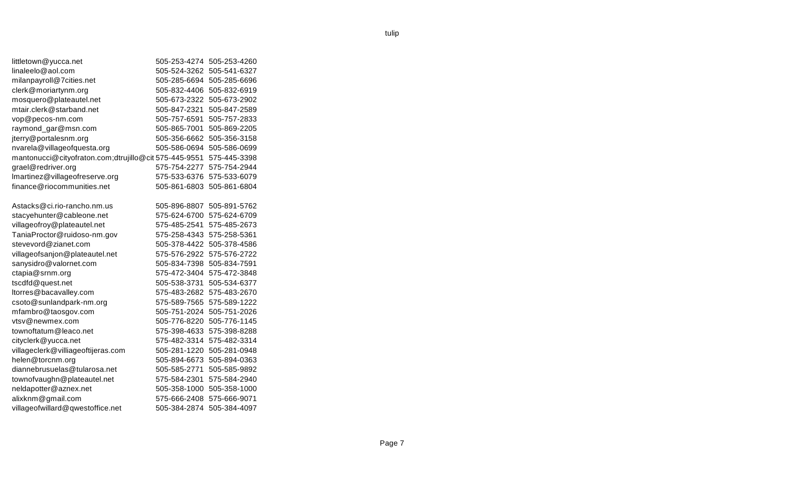| littletown@yucca.net                                 | 505-253-4274 | 505-253-4260 |
|------------------------------------------------------|--------------|--------------|
| linaleelo@aol.com                                    | 505-524-3262 | 505-541-6327 |
| milanpayroll@7cities.net                             | 505-285-6694 | 505-285-6696 |
| clerk@moriartynm.org                                 | 505-832-4406 | 505-832-6919 |
| mosquero@plateautel.net                              | 505-673-2322 | 505-673-2902 |
| mtair.clerk@starband.net                             | 505-847-2321 | 505-847-2589 |
| vop@pecos-nm.com                                     | 505-757-6591 | 505-757-2833 |
| raymond_gar@msn.com                                  | 505-865-7001 | 505-869-2205 |
| jterry@portalesnm.org                                | 505-356-6662 | 505-356-3158 |
| nvarela@villageofquesta.org                          | 505-586-0694 | 505-586-0699 |
| mantonucci@cityofraton.com;dtrujillo@cit575-445-9551 |              | 575-445-3398 |
| grael@redriver.org                                   | 575-754-2277 | 575-754-2944 |
| Imartinez@villageofreserve.org                       | 575-533-6376 | 575-533-6079 |
| finance@riocommunities.net                           | 505-861-6803 | 505-861-6804 |
| Astacks@ci.rio-rancho.nm.us                          | 505-896-8807 | 505-891-5762 |
| stacyehunter@cableone.net                            | 575-624-6700 | 575-624-6709 |
| villageofroy@plateautel.net                          | 575-485-2541 | 575-485-2673 |
| TaniaProctor@ruidoso-nm.gov                          | 575-258-4343 | 575-258-5361 |
| stevevord@zianet.com                                 | 505-378-4422 | 505-378-4586 |
| villageofsanjon@plateautel.net                       | 575-576-2922 | 575-576-2722 |
| sanysidro@valornet.com                               | 505-834-7398 | 505-834-7591 |
| ctapia@srnm.org                                      | 575-472-3404 | 575-472-3848 |
| tscdfd@quest.net                                     | 505-538-3731 | 505-534-6377 |
| ltorres@bacavalley.com                               | 575-483-2682 | 575-483-2670 |
| csoto@sunlandpark-nm.org                             | 575-589-7565 | 575-589-1222 |
| mfambro@taosgov.com                                  | 505-751-2024 | 505-751-2026 |
| vtsv@newmex.com                                      | 505-776-8220 | 505-776-1145 |
| townoftatum@leaco.net                                | 575-398-4633 | 575-398-8288 |
| cityclerk@yucca.net                                  | 575-482-3314 | 575-482-3314 |
| villageclerk@villiageoftijeras.com                   | 505-281-1220 | 505-281-0948 |
| helen@torcnm.org                                     | 505-894-6673 | 505-894-0363 |
| diannebrusuelas@tularosa.net                         | 505-585-2771 | 505-585-9892 |
| townofvaughn@plateautel.net                          | 575-584-2301 | 575-584-2940 |
| neldapotter@aznex.net                                | 505-358-1000 | 505-358-1000 |
| alixknm@gmail.com                                    | 575-666-2408 | 575-666-9071 |
| villageofwillard@qwestoffice.net                     | 505-384-2874 | 505-384-4097 |